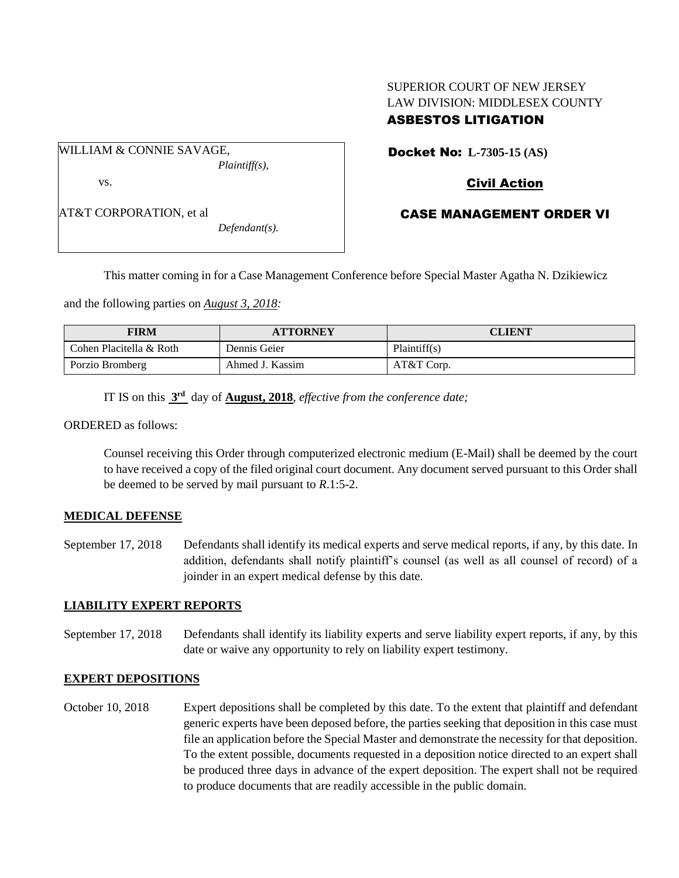# SUPERIOR COURT OF NEW JERSEY LAW DIVISION: MIDDLESEX COUNTY ASBESTOS LITIGATION

WILLIAM & CONNIE SAVAGE, *Plaintiff(s),* vs.

AT&T CORPORATION, et al

*Defendant(s).*

Docket No: **L-7305-15 (AS)** 

# Civil Action

## CASE MANAGEMENT ORDER VI

This matter coming in for a Case Management Conference before Special Master Agatha N. Dzikiewicz

and the following parties on *August 3, 2018:*

| <b>FIRM</b>             | <b>ATTORNEY</b> | CLIENT       |
|-------------------------|-----------------|--------------|
| Cohen Placitella & Roth | Dennis Geier    | Plaintiff(s) |
| Porzio Bromberg         | Ahmed J. Kassim | AT&T Corp.   |

IT IS on this **3 rd** day of **August, 2018**, *effective from the conference date;*

ORDERED as follows:

Counsel receiving this Order through computerized electronic medium (E-Mail) shall be deemed by the court to have received a copy of the filed original court document. Any document served pursuant to this Order shall be deemed to be served by mail pursuant to *R*.1:5-2.

#### **MEDICAL DEFENSE**

September 17, 2018 Defendants shall identify its medical experts and serve medical reports, if any, by this date. In addition, defendants shall notify plaintiff's counsel (as well as all counsel of record) of a joinder in an expert medical defense by this date.

### **LIABILITY EXPERT REPORTS**

September 17, 2018 Defendants shall identify its liability experts and serve liability expert reports, if any, by this date or waive any opportunity to rely on liability expert testimony.

#### **EXPERT DEPOSITIONS**

October 10, 2018 Expert depositions shall be completed by this date. To the extent that plaintiff and defendant generic experts have been deposed before, the parties seeking that deposition in this case must file an application before the Special Master and demonstrate the necessity for that deposition. To the extent possible, documents requested in a deposition notice directed to an expert shall be produced three days in advance of the expert deposition. The expert shall not be required to produce documents that are readily accessible in the public domain.